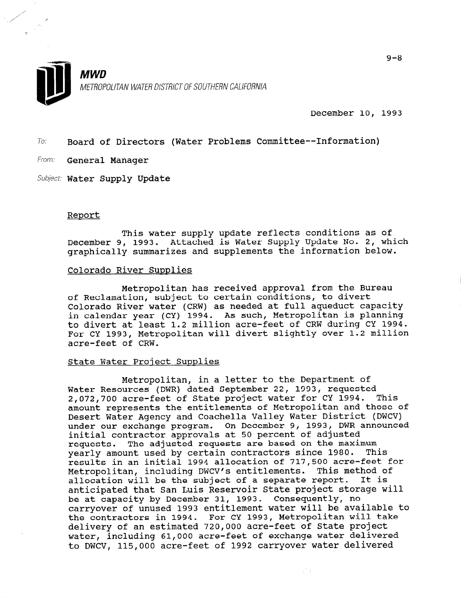

December 10, 1993

70: Board of Directors (Water Problems Committee--Information)

From: General Manager

Subject: Water Supply Update

### Report

This water supply update reflects conditions as of December 9, 1993. Attached is Water Supply Update No. 2, which graphically summarizes and supplements the information below.

## Colorado River Supplies

Metropolitan has received approval from the Bureau of Reclamation, subject to certain conditions, to divert of Reclamation, subject to certain conditions, to divert Colorado River water (CRW) as needed at full aqueduct capaci in calendar year (CY) 1994. As such, Metropolitan is planning to divert at least 1.2 million acre-feet of CRW during CY 1994. For CY 1993, Metropolitan will divert slightly over 1.2 million acre-feet of CRW.

Metropolitan, in a letter to the Department of

# State Water Proiect Supplies

Metropolitan, in a letter to the Department of Water Resources (DWR) dated September 22, 1993, requested<br>2.072.700 acre-feet of State project water for CY 1994. This 2.072.700 acre-feet of State project water for CY 1994. amount represents the entitlements of Metropolitan and those of Desert Water Agency and Coachella Valley Water District (DWCV) under our exchange program. On December 9, 1993, DW initial contractor approvals at 50 percent of adjusted requests. The adjusted requests are based on the maximum yearly amount used by certain contractors since 1980. This results in an initial 1994 allocation of 717,500 acre-feet for Metropolitan, including DWCV's entitlements. This method of allocation will be the subject of a separate report. It is anticipated that San Luis Reservoir State project storage will be at capacity by December 31, 1993. Consequently, no carryover of unused 1993 entitlement water will be available to the contractors in 1994. For CY 1993, Metropolitan will take delivery of an estimated 720,000 acre-feet of State project water, including 61,000 acre-feet of exchange water delivered to DWCV, 115,000 acre-feet of 1992 carryover water delivered

可示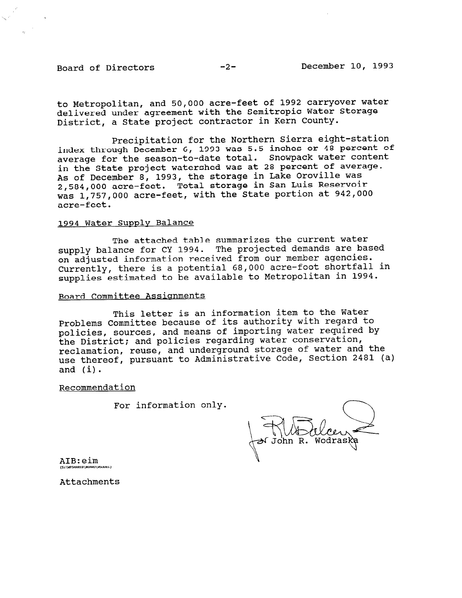to Metropolitan, and 50,000 acre-feet of 1992 carryover water delivered under agreement with the Semitropic Water Storage District, a State project contractor in Kern County.

Precipitation for the Northern Sierra eight-station index through December 6, 1993 was 5.5 inches or 48 percent of average for the season-to-date total. Snowpack water content in the State project watershed was at 28 percent of average. As of December 8, 1993, the storage in Lake Oroville was 2,584,OOO acre-feet. Total storage in San Luis Reservoir was 1,757,OOO acre-feet, with the State portion at 942,000 acre-feet.

# 1994 Water Supply Balance

The attached table summarizes the current water supply balance for CY 1994. The projected demands are based on adjusted information received from our member agencies. Currently, there is a potential 68,000 acre-foot shortfall in supplies estimated to be available to Metropolitan in 1994.

#### Board Committee Assignments

This letter is an information item to the Water Problems Committee because of its authority with regard to policies, sources, and means of importing water required by the District; and policies regarding water conservation, reclamation, reuse, and underground storage of water and the use thereof, pursuant to Administrative Code, Section 2481 (a) and (i).

Recommendation

For information only.

AIB:eim .<br>mwaka 60

Attachments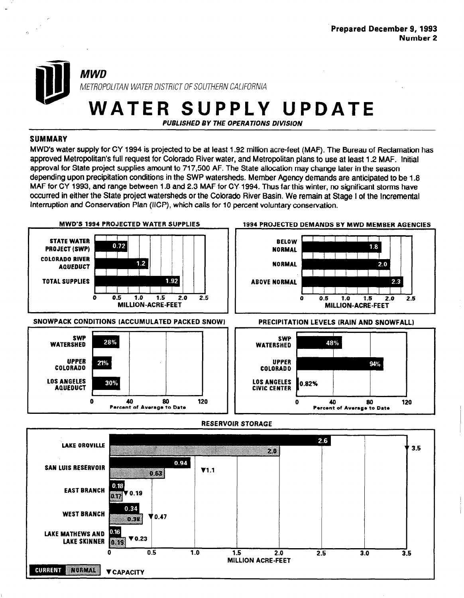# **MWD** METROPOLITAN WATER DISTRICT OF SOUTHERN CALIFORNIA

WATER SUPPLY UPDATE

PUBLISHED BY THE OPERATIONS DIVISION

# SUMMARY

MWD's water supply for CY 1994 is projected to be at least 1.92 million acre-feet (MAF). The Bureau of Reclamation has approved Metropolitan's full request for Colorado River water, and Metropolitan plans to use at least 1.2 MAF. Initial approval for State project supplies amount to 717,500 AF. The State allocation may change later in the season depending upon precipitation conditions in the SWP watersheds. Member Agency demands are anticipated to be 1.8 MAF for CY 1993, and range between 1.8 and 2.3 MAF for CY- 1994. Thus far this winter, no significant storms have occurred in either the State project watersheds or the Colorado River Basin. We remain at Stage I of the Incremental Interruption and Conservation Plan (IICP), which calls for 10 percent voluntary conservation.

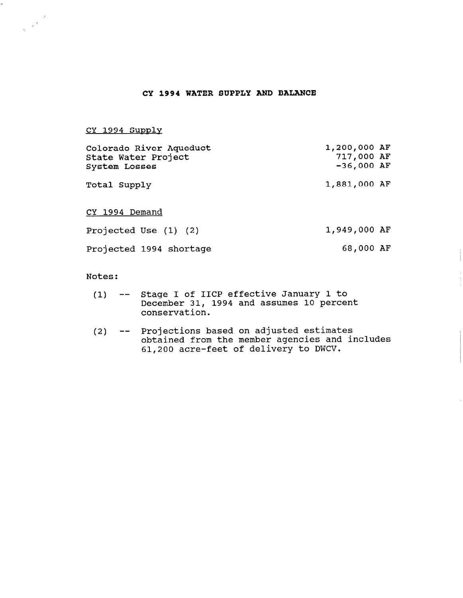# CY 1994 WATER SUPPLY AND BALANCE

CY 1994 Supplv

 $\frac{d}{dt}$   $\frac{d}{dt}$ 

| Colorado River Aqueduct<br>State Water Project<br><b>System Losses</b> | 1,200,000 AF<br>717,000 AF<br>$-36,000$ AF |
|------------------------------------------------------------------------|--------------------------------------------|
| Total Supply                                                           | 1,881,000 AF                               |
| CY 1994 Demand                                                         |                                            |
| Projected Use $(1)$ $(2)$                                              | 1,949,000 AF                               |
| Projected 1994 shortage                                                | 68,000 AF                                  |

Notes :

- (1) -- Stage I of IICP effective January 1 to bedge i of the existence candary from conservation.
- (2)  $-$  Projections based on adjusted estimat If operating and the member agencies and included that include the member agencies and include 61,200 acre-feet of delivery to DWCV.